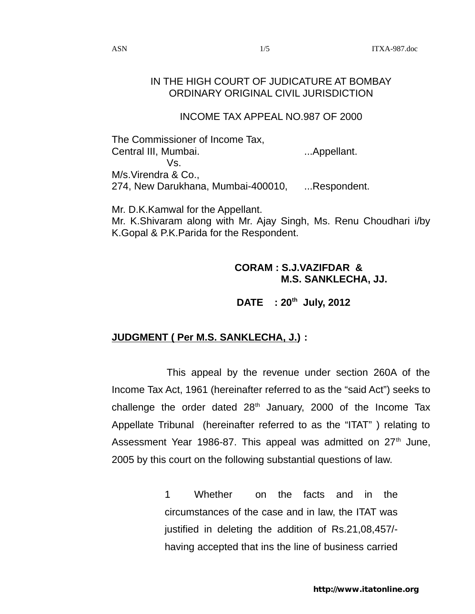## IN THE HIGH COURT OF JUDICATURE AT BOMBAY ORDINARY ORIGINAL CIVIL JURISDICTION

## INCOME TAX APPEAL NO.987 OF 2000

The Commissioner of Income Tax, Central III, Mumbai. ...Appellant. Vs. M/s.Virendra & Co., 274, New Darukhana, Mumbai-400010, ...Respondent.

Mr. D.K.Kamwal for the Appellant. Mr. K.Shivaram along with Mr. Ajay Singh, Ms. Renu Choudhari i/by K.Gopal & P.K.Parida for the Respondent.

## **CORAM : S.J.VAZIFDAR & M.S. SANKLECHA, JJ.**

# **DATE : 20th July, 2012**

# **JUDGMENT ( Per M.S. SANKLECHA, J.) :**

This appeal by the revenue under section 260A of the Income Tax Act, 1961 (hereinafter referred to as the "said Act") seeks to challenge the order dated  $28<sup>th</sup>$  January, 2000 of the Income Tax Appellate Tribunal (hereinafter referred to as the "ITAT" ) relating to Assessment Year 1986-87. This appeal was admitted on  $27<sup>th</sup>$  June, 2005 by this court on the following substantial questions of law.

> 1 Whether on the facts and in the circumstances of the case and in law, the ITAT was justified in deleting the addition of Rs.21,08,457/ having accepted that ins the line of business carried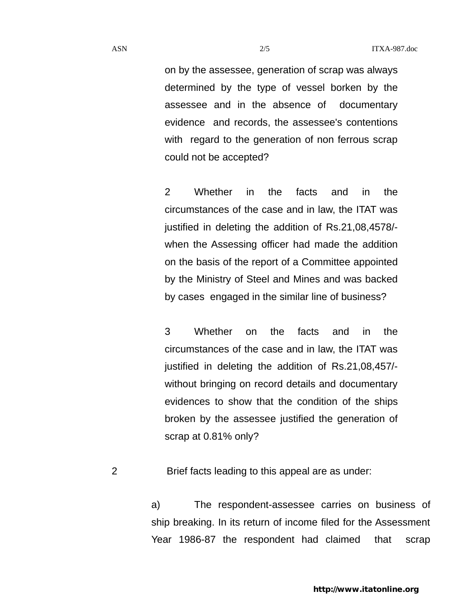on by the assessee, generation of scrap was always determined by the type of vessel borken by the assessee and in the absence of documentary evidence and records, the assessee's contentions with regard to the generation of non ferrous scrap could not be accepted?

2 Whether in the facts and in the circumstances of the case and in law, the ITAT was justified in deleting the addition of Rs.21,08,4578/ when the Assessing officer had made the addition on the basis of the report of a Committee appointed by the Ministry of Steel and Mines and was backed by cases engaged in the similar line of business?

3 Whether on the facts and in the circumstances of the case and in law, the ITAT was justified in deleting the addition of Rs.21,08,457/ without bringing on record details and documentary evidences to show that the condition of the ships broken by the assessee justified the generation of scrap at 0.81% only?

2 Brief facts leading to this appeal are as under:

a) The respondent-assessee carries on business of ship breaking. In its return of income filed for the Assessment Year 1986-87 the respondent had claimed that scrap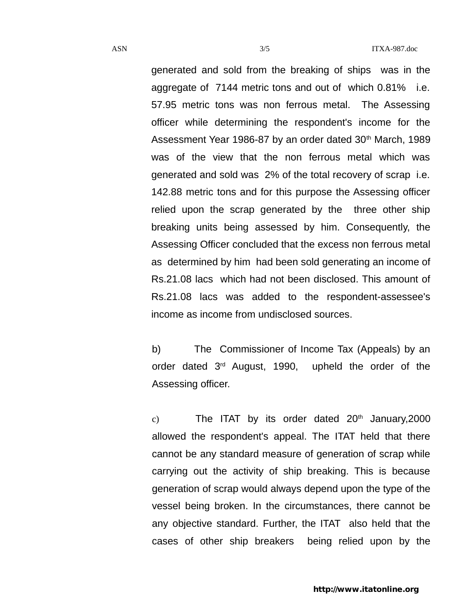generated and sold from the breaking of ships was in the aggregate of 7144 metric tons and out of which 0.81% i.e. 57.95 metric tons was non ferrous metal. The Assessing officer while determining the respondent's income for the Assessment Year 1986-87 by an order dated 30<sup>th</sup> March, 1989 was of the view that the non ferrous metal which was generated and sold was 2% of the total recovery of scrap i.e. 142.88 metric tons and for this purpose the Assessing officer relied upon the scrap generated by the three other ship breaking units being assessed by him. Consequently, the Assessing Officer concluded that the excess non ferrous metal as determined by him had been sold generating an income of Rs.21.08 lacs which had not been disclosed. This amount of Rs.21.08 lacs was added to the respondent-assessee's income as income from undisclosed sources.

b) The Commissioner of Income Tax (Appeals) by an order dated 3rd August, 1990, upheld the order of the Assessing officer.

c) The ITAT by its order dated  $20<sup>th</sup>$  January, 2000 allowed the respondent's appeal. The ITAT held that there cannot be any standard measure of generation of scrap while carrying out the activity of ship breaking. This is because generation of scrap would always depend upon the type of the vessel being broken. In the circumstances, there cannot be any objective standard. Further, the ITAT also held that the cases of other ship breakers being relied upon by the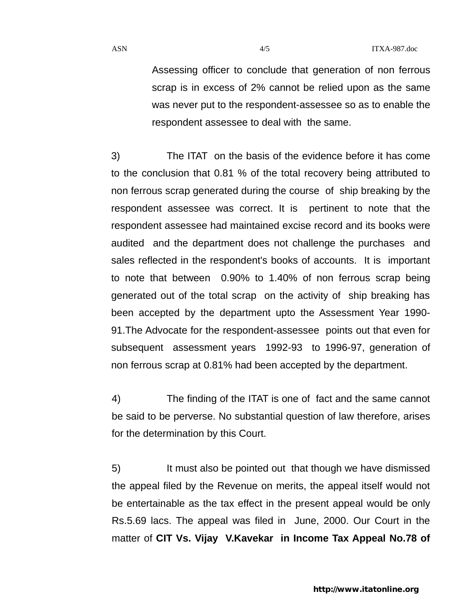ASN  $\frac{4}{5}$  ITXA-987.doc

Assessing officer to conclude that generation of non ferrous scrap is in excess of 2% cannot be relied upon as the same was never put to the respondent-assessee so as to enable the respondent assessee to deal with the same.

3) The ITAT on the basis of the evidence before it has come to the conclusion that 0.81 % of the total recovery being attributed to non ferrous scrap generated during the course of ship breaking by the respondent assessee was correct. It is pertinent to note that the respondent assessee had maintained excise record and its books were audited and the department does not challenge the purchases and sales reflected in the respondent's books of accounts. It is important to note that between 0.90% to 1.40% of non ferrous scrap being generated out of the total scrap on the activity of ship breaking has been accepted by the department upto the Assessment Year 1990- 91.The Advocate for the respondent-assessee points out that even for subsequent assessment years 1992-93 to 1996-97, generation of non ferrous scrap at 0.81% had been accepted by the department.

4) The finding of the ITAT is one of fact and the same cannot be said to be perverse. No substantial question of law therefore, arises for the determination by this Court.

5) It must also be pointed out that though we have dismissed the appeal filed by the Revenue on merits, the appeal itself would not be entertainable as the tax effect in the present appeal would be only Rs.5.69 lacs. The appeal was filed in June, 2000. Our Court in the matter of **CIT Vs. Vijay V.Kavekar in Income Tax Appeal No.78 of**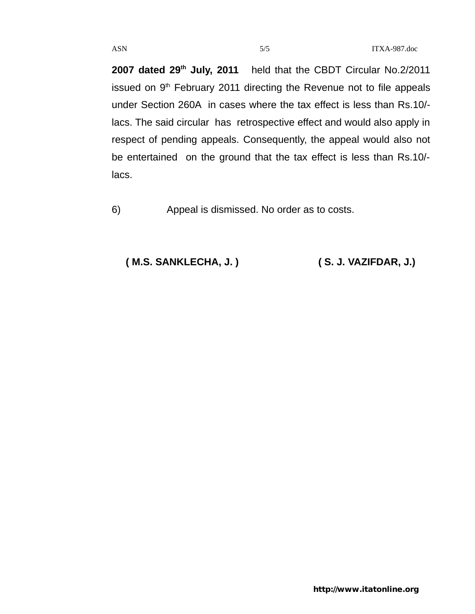**2007 dated 29th July, 2011** held that the CBDT Circular No.2/2011 issued on 9<sup>th</sup> February 2011 directing the Revenue not to file appeals under Section 260A in cases where the tax effect is less than Rs.10/ lacs. The said circular has retrospective effect and would also apply in respect of pending appeals. Consequently, the appeal would also not be entertained on the ground that the tax effect is less than Rs.10/ lacs.

6) Appeal is dismissed. No order as to costs.

 **( M.S. SANKLECHA, J. ) ( S. J. VAZIFDAR, J.)**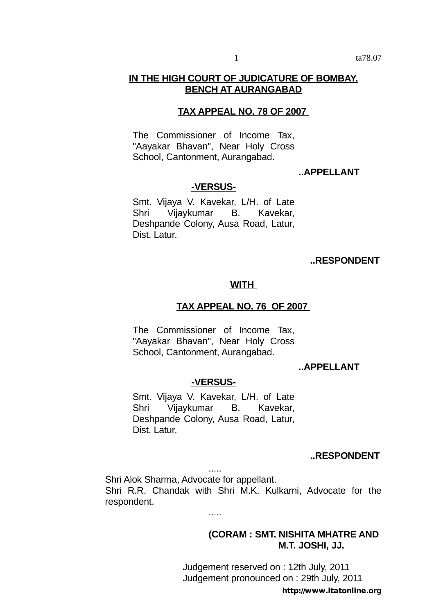## **IN THE HIGH COURT OF JUDICATURE OF BOMBAY, BENCH AT AURANGABAD**

## **TAX APPEAL NO. 78 OF 2007**

The Commissioner of Income Tax, "Aayakar Bhavan", Near Holy Cross School, Cantonment, Aurangabad.

## **..APPELLANT**

## **-VERSUS-**

Smt. Vijaya V. Kavekar, L/H. of Late Shri Vijaykumar B. Kavekar, Deshpande Colony, Ausa Road, Latur, Dist. Latur.

#### **..RESPONDENT**

#### **WITH**

#### **TAX APPEAL NO. 76 OF 2007**

The Commissioner of Income Tax, "Aayakar Bhavan", Near Holy Cross School, Cantonment, Aurangabad.

## **..APPELLANT**

#### **-VERSUS-**

Smt. Vijaya V. Kavekar, L/H. of Late Shri Vijaykumar B. Kavekar, Deshpande Colony, Ausa Road, Latur, Dist. Latur.

#### **..RESPONDENT**

Shri Alok Sharma, Advocate for appellant. Shri R.R. Chandak with Shri M.K. Kulkarni, Advocate for the respondent.

.....

.....

## **(CORAM : SMT. NISHITA MHATRE AND M.T. JOSHI, JJ.**

Judgement reserved on : 12th July, 2011 Judgement pronounced on : 29th July, 2011

http://www.itatonline.org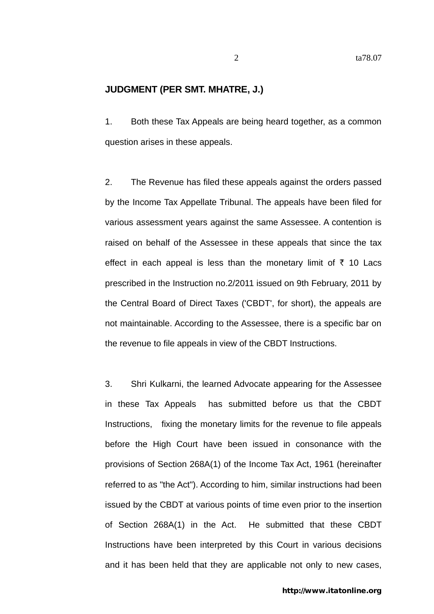## **JUDGMENT (PER SMT. MHATRE, J.)**

1. Both these Tax Appeals are being heard together, as a common question arises in these appeals.

2. The Revenue has filed these appeals against the orders passed by the Income Tax Appellate Tribunal. The appeals have been filed for various assessment years against the same Assessee. A contention is raised on behalf of the Assessee in these appeals that since the tax effect in each appeal is less than the monetary limit of  $\bar{\tau}$  10 Lacs prescribed in the Instruction no.2/2011 issued on 9th February, 2011 by the Central Board of Direct Taxes ('CBDT', for short), the appeals are not maintainable. According to the Assessee, there is a specific bar on the revenue to file appeals in view of the CBDT Instructions.

3. Shri Kulkarni, the learned Advocate appearing for the Assessee in these Tax Appeals has submitted before us that the CBDT Instructions, fixing the monetary limits for the revenue to file appeals before the High Court have been issued in consonance with the provisions of Section 268A(1) of the Income Tax Act, 1961 (hereinafter referred to as "the Act"). According to him, similar instructions had been issued by the CBDT at various points of time even prior to the insertion of Section 268A(1) in the Act. He submitted that these CBDT Instructions have been interpreted by this Court in various decisions and it has been held that they are applicable not only to new cases,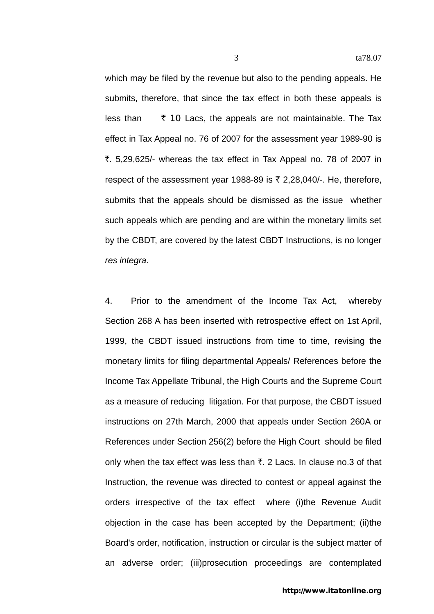which may be filed by the revenue but also to the pending appeals. He submits, therefore, that since the tax effect in both these appeals is less than  $\bar{\tau}$  10 Lacs, the appeals are not maintainable. The Tax

monetary limits for filing departmental Appeals/ References before the Income Tax Appellate Tribunal, the High Courts and the Supreme Court as a measure of reducing litigation. For that purpose, the CBDT issued instructions on 27th March, 2000 that appeals under Section 260A or References under Section 256(2) before the High Court should be filed only when the tax effect was less than  $\bar{\tau}$ . 2 Lacs. In clause no.3 of that Instruction, the revenue was directed to contest or appeal against the orders irrespective of the tax effect where (i)the Revenue Audit objection in the case has been accepted by the Department; (ii)the Board's order, notification, instruction or circular is the subject matter of an adverse order; (iii)prosecution proceedings are contemplated

effect in Tax Appeal no. 76 of 2007 for the assessment year 1989-90 is ₹. 5,29,625/- whereas the tax effect in Tax Appeal no. 78 of 2007 in respect of the assessment year 1988-89 is  $\bar{\tau}$  2,28,040/-. He, therefore, submits that the appeals should be dismissed as the issue whether such appeals which are pending and are within the monetary limits set by the CBDT, are covered by the latest CBDT Instructions, is no longer *res integra*. 4. Prior to the amendment of the Income Tax Act, whereby Section 268 A has been inserted with retrospective effect on 1st April, 1999, the CBDT issued instructions from time to time, revising the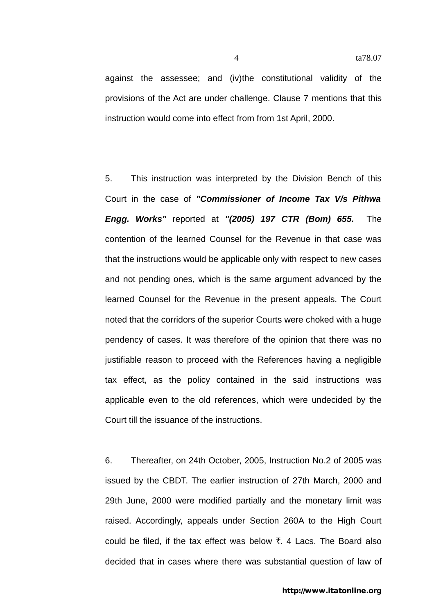against the assessee; and (iv)the constitutional validity of the provisions of the Act are under challenge. Clause 7 mentions that this instruction would come into effect from from 1st April, 2000.

5. This instruction was interpreted by the Division Bench of this Court in the case of *"Commissioner of Income Tax V/s Pithwa Engg. Works"* reported at *"(2005) 197 CTR (Bom) 655.* The contention of the learned Counsel for the Revenue in that case was that the instructions would be applicable only with respect to new cases and not pending ones, which is the same argument advanced by the learned Counsel for the Revenue in the present appeals. The Court noted that the corridors of the superior Courts were choked with a huge pendency of cases. It was therefore of the opinion that there was no justifiable reason to proceed with the References having a negligible tax effect, as the policy contained in the said instructions was applicable even to the old references, which were undecided by the Court till the issuance of the instructions.

6. Thereafter, on 24th October, 2005, Instruction No.2 of 2005 was issued by the CBDT. The earlier instruction of 27th March, 2000 and 29th June, 2000 were modified partially and the monetary limit was raised. Accordingly, appeals under Section 260A to the High Court could be filed, if the tax effect was below  $\bar{\tau}$ , 4 Lacs. The Board also decided that in cases where there was substantial question of law of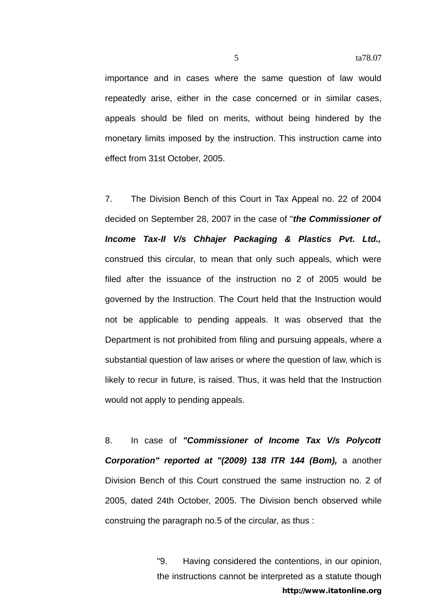importance and in cases where the same question of law would repeatedly arise, either in the case concerned or in similar cases, appeals should be filed on merits, without being hindered by the monetary limits imposed by the instruction. This instruction came into effect from 31st October, 2005.

7. The Division Bench of this Court in Tax Appeal no. 22 of 2004 decided on September 28, 2007 in the case of "*the Commissioner of Income Tax-II V/s Chhajer Packaging & Plastics Pvt. Ltd.,*  construed this circular, to mean that only such appeals, which were filed after the issuance of the instruction no 2 of 2005 would be governed by the Instruction. The Court held that the Instruction would not be applicable to pending appeals. It was observed that the Department is not prohibited from filing and pursuing appeals, where a substantial question of law arises or where the question of law, which is likely to recur in future, is raised. Thus, it was held that the Instruction would not apply to pending appeals.

8. In case of *"Commissioner of Income Tax V/s Polycott Corporation" reported at "(2009) 138 ITR 144 (Bom),* a another Division Bench of this Court construed the same instruction no. 2 of 2005, dated 24th October, 2005. The Division bench observed while construing the paragraph no.5 of the circular, as thus :

> "9. Having considered the contentions, in our opinion, the instructions cannot be interpreted as a statute though http://www.itatonline.org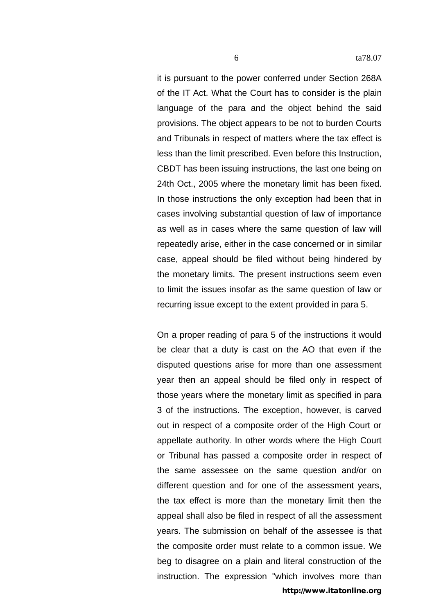it is pursuant to the power conferred under Section 268A of the IT Act. What the Court has to consider is the plain language of the para and the object behind the said provisions. The object appears to be not to burden Courts and Tribunals in respect of matters where the tax effect is less than the limit prescribed. Even before this Instruction, CBDT has been issuing instructions, the last one being on 24th Oct., 2005 where the monetary limit has been fixed. In those instructions the only exception had been that in cases involving substantial question of law of importance as well as in cases where the same question of law will repeatedly arise, either in the case concerned or in similar case, appeal should be filed without being hindered by the monetary limits. The present instructions seem even to limit the issues insofar as the same question of law or recurring issue except to the extent provided in para 5.

On a proper reading of para 5 of the instructions it would be clear that a duty is cast on the AO that even if the disputed questions arise for more than one assessment year then an appeal should be filed only in respect of those years where the monetary limit as specified in para 3 of the instructions. The exception, however, is carved out in respect of a composite order of the High Court or appellate authority. In other words where the High Court or Tribunal has passed a composite order in respect of the same assessee on the same question and/or on different question and for one of the assessment years, the tax effect is more than the monetary limit then the appeal shall also be filed in respect of all the assessment years. The submission on behalf of the assessee is that the composite order must relate to a common issue. We beg to disagree on a plain and literal construction of the instruction. The expression "which involves more than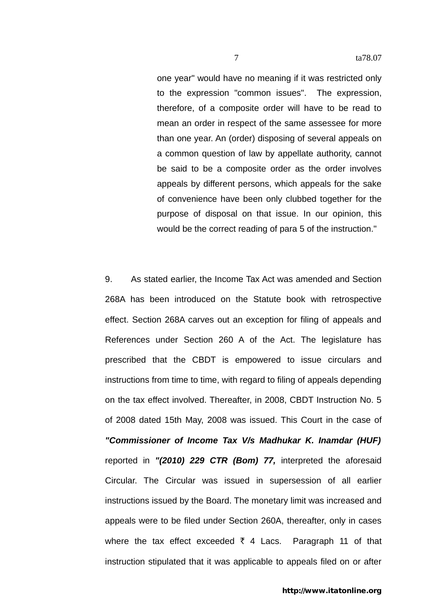one year" would have no meaning if it was restricted only to the expression "common issues". The expression, therefore, of a composite order will have to be read to mean an order in respect of the same assessee for more than one year. An (order) disposing of several appeals on a common question of law by appellate authority, cannot be said to be a composite order as the order involves appeals by different persons, which appeals for the sake of convenience have been only clubbed together for the purpose of disposal on that issue. In our opinion, this would be the correct reading of para 5 of the instruction."

9. As stated earlier, the Income Tax Act was amended and Section 268A has been introduced on the Statute book with retrospective effect. Section 268A carves out an exception for filing of appeals and References under Section 260 A of the Act. The legislature has prescribed that the CBDT is empowered to issue circulars and instructions from time to time, with regard to filing of appeals depending on the tax effect involved. Thereafter, in 2008, CBDT Instruction No. 5 of 2008 dated 15th May, 2008 was issued. This Court in the case of *"Commissioner of Income Tax V/s Madhukar K. Inamdar (HUF)*  reported in *"(2010) 229 CTR (Bom) 77,* interpreted the aforesaid Circular. The Circular was issued in supersession of all earlier instructions issued by the Board. The monetary limit was increased and appeals were to be filed under Section 260A, thereafter, only in cases where the tax effect exceeded  $\bar{\tau}$  4 Lacs. Paragraph 11 of that instruction stipulated that it was applicable to appeals filed on or after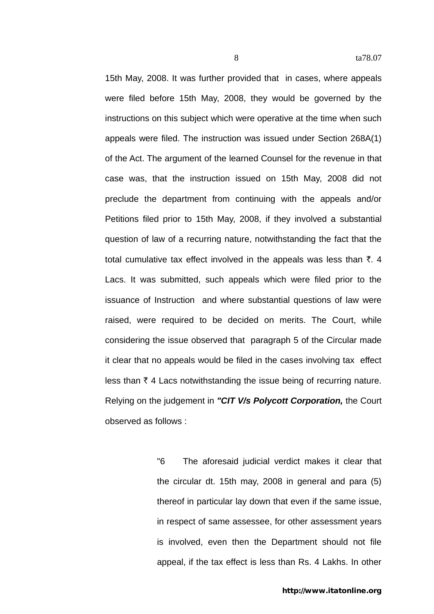15th May, 2008. It was further provided that in cases, where appeals were filed before 15th May, 2008, they would be governed by the instructions on this subject which were operative at the time when such appeals were filed. The instruction was issued under Section 268A(1) of the Act. The argument of the learned Counsel for the revenue in that case was, that the instruction issued on 15th May, 2008 did not preclude the department from continuing with the appeals and/or Petitions filed prior to 15th May, 2008, if they involved a substantial question of law of a recurring nature, notwithstanding the fact that the total cumulative tax effect involved in the appeals was less than  $\bar{\tau}$ . 4 Lacs. It was submitted, such appeals which were filed prior to the issuance of Instruction and where substantial questions of law were raised, were required to be decided on merits. The Court, while considering the issue observed that paragraph 5 of the Circular made it clear that no appeals would be filed in the cases involving tax effect less than  $\bar{\tau}$  4 Lacs notwithstanding the issue being of recurring nature. Relying on the judgement in *"CIT V/s Polycott Corporation,* the Court observed as follows :

> "6 The aforesaid judicial verdict makes it clear that the circular dt. 15th may, 2008 in general and para (5) thereof in particular lay down that even if the same issue, in respect of same assessee, for other assessment years is involved, even then the Department should not file appeal, if the tax effect is less than Rs. 4 Lakhs. In other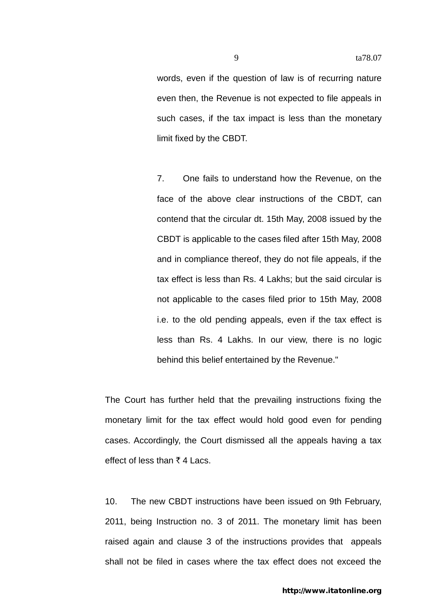words, even if the question of law is of recurring nature even then, the Revenue is not expected to file appeals in such cases, if the tax impact is less than the monetary limit fixed by the CBDT.

7. One fails to understand how the Revenue, on the face of the above clear instructions of the CBDT, can contend that the circular dt. 15th May, 2008 issued by the CBDT is applicable to the cases filed after 15th May, 2008 and in compliance thereof, they do not file appeals, if the tax effect is less than Rs. 4 Lakhs; but the said circular is not applicable to the cases filed prior to 15th May, 2008 i.e. to the old pending appeals, even if the tax effect is less than Rs. 4 Lakhs. In our view, there is no logic behind this belief entertained by the Revenue."

The Court has further held that the prevailing instructions fixing the monetary limit for the tax effect would hold good even for pending cases. Accordingly, the Court dismissed all the appeals having a tax effect of less than  $\bar{\tau}$  4 Lacs.

10. The new CBDT instructions have been issued on 9th February, 2011, being Instruction no. 3 of 2011. The monetary limit has been raised again and clause 3 of the instructions provides that appeals shall not be filed in cases where the tax effect does not exceed the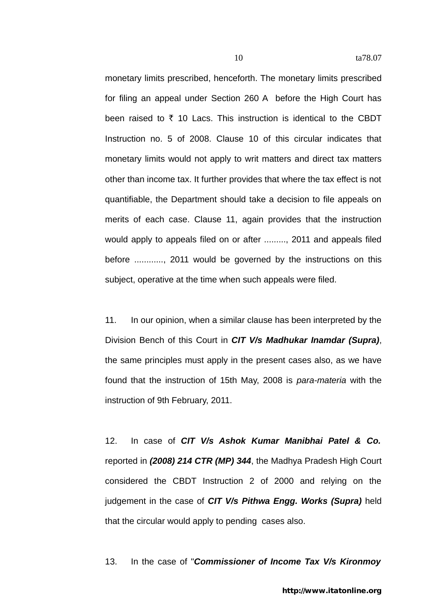monetary limits prescribed, henceforth. The monetary limits prescribed for filing an appeal under Section 260 A before the High Court has been raised to  $\bar{\tau}$  10 Lacs. This instruction is identical to the CBDT Instruction no. 5 of 2008. Clause 10 of this circular indicates that monetary limits would not apply to writ matters and direct tax matters other than income tax. It further provides that where the tax effect is not quantifiable, the Department should take a decision to file appeals on merits of each case. Clause 11, again provides that the instruction would apply to appeals filed on or after ........., 2011 and appeals filed before ............, 2011 would be governed by the instructions on this subject, operative at the time when such appeals were filed.

11. In our opinion, when a similar clause has been interpreted by the Division Bench of this Court in *CIT V/s Madhukar Inamdar (Supra)*, the same principles must apply in the present cases also, as we have found that the instruction of 15th May, 2008 is *para-materia* with the instruction of 9th February, 2011.

12. In case of *CIT V/s Ashok Kumar Manibhai Patel & Co.*  reported in *(2008) 214 CTR (MP) 344*, the Madhya Pradesh High Court considered the CBDT Instruction 2 of 2000 and relying on the judgement in the case of *CIT V/s Pithwa Engg. Works (Supra)* held that the circular would apply to pending cases also.

13. In the case of "*Commissioner of Income Tax V/s Kironmoy*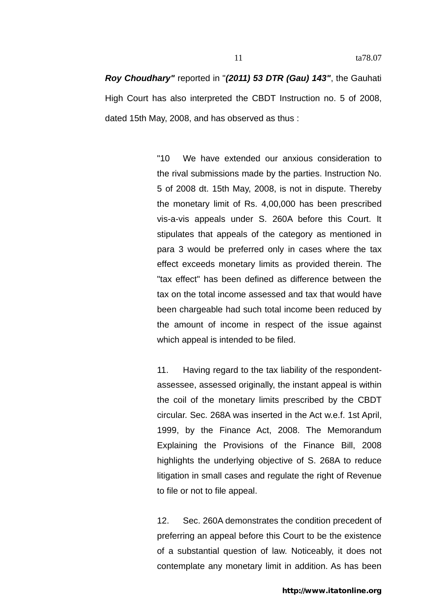*Roy Choudhary"* reported in "*(2011) 53 DTR (Gau) 143"*, the Gauhati High Court has also interpreted the CBDT Instruction no. 5 of 2008, dated 15th May, 2008, and has observed as thus :

> "10 We have extended our anxious consideration to the rival submissions made by the parties. Instruction No. 5 of 2008 dt. 15th May, 2008, is not in dispute. Thereby the monetary limit of Rs. 4,00,000 has been prescribed vis-a-vis appeals under S. 260A before this Court. It stipulates that appeals of the category as mentioned in para 3 would be preferred only in cases where the tax effect exceeds monetary limits as provided therein. The "tax effect" has been defined as difference between the tax on the total income assessed and tax that would have been chargeable had such total income been reduced by the amount of income in respect of the issue against which appeal is intended to be filed.

> 11. Having regard to the tax liability of the respondentassessee, assessed originally, the instant appeal is within the coil of the monetary limits prescribed by the CBDT circular. Sec. 268A was inserted in the Act w.e.f. 1st April, 1999, by the Finance Act, 2008. The Memorandum Explaining the Provisions of the Finance Bill, 2008 highlights the underlying objective of S. 268A to reduce litigation in small cases and regulate the right of Revenue to file or not to file appeal.

> 12. Sec. 260A demonstrates the condition precedent of preferring an appeal before this Court to be the existence of a substantial question of law. Noticeably, it does not contemplate any monetary limit in addition. As has been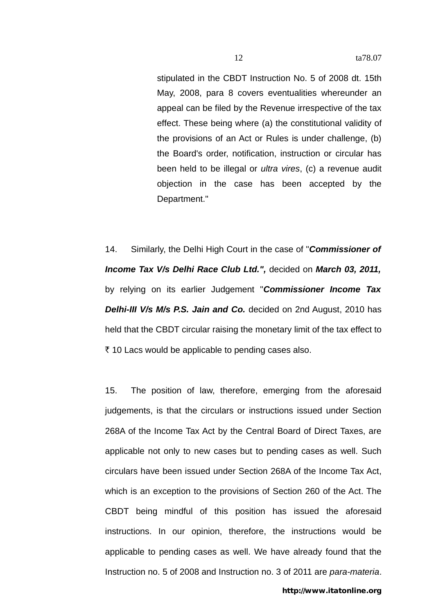stipulated in the CBDT Instruction No. 5 of 2008 dt. 15th May, 2008, para 8 covers eventualities whereunder an appeal can be filed by the Revenue irrespective of the tax effect. These being where (a) the constitutional validity of the provisions of an Act or Rules is under challenge, (b) the Board's order, notification, instruction or circular has been held to be illegal or *ultra vires*, (c) a revenue audit objection in the case has been accepted by the Department."

14. Similarly, the Delhi High Court in the case of "*Commissioner of Income Tax V/s Delhi Race Club Ltd.",* decided on *March 03, 2011,*  by relying on its earlier Judgement "*Commissioner Income Tax Delhi-III V/s M/s P.S. Jain and Co.* decided on 2nd August, 2010 has held that the CBDT circular raising the monetary limit of the tax effect to  $\bar{\tau}$  10 Lacs would be applicable to pending cases also.

15. The position of law, therefore, emerging from the aforesaid judgements, is that the circulars or instructions issued under Section 268A of the Income Tax Act by the Central Board of Direct Taxes, are applicable not only to new cases but to pending cases as well. Such circulars have been issued under Section 268A of the Income Tax Act, which is an exception to the provisions of Section 260 of the Act. The CBDT being mindful of this position has issued the aforesaid instructions. In our opinion, therefore, the instructions would be applicable to pending cases as well. We have already found that the Instruction no. 5 of 2008 and Instruction no. 3 of 2011 are *para-materia*.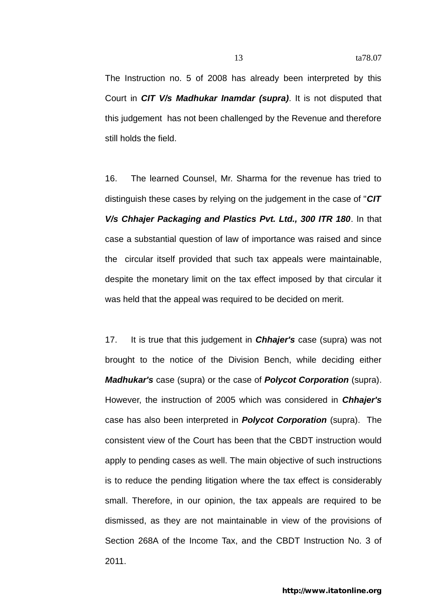The Instruction no. 5 of 2008 has already been interpreted by this Court in *CIT V/s Madhukar Inamdar (supra)*. It is not disputed that this judgement has not been challenged by the Revenue and therefore still holds the field.

16. The learned Counsel, Mr. Sharma for the revenue has tried to distinguish these cases by relying on the judgement in the case of "*CIT V/s Chhajer Packaging and Plastics Pvt. Ltd., 300 ITR 180*. In that case a substantial question of law of importance was raised and since the circular itself provided that such tax appeals were maintainable, despite the monetary limit on the tax effect imposed by that circular it was held that the appeal was required to be decided on merit.

17. It is true that this judgement in *Chhajer's* case (supra) was not brought to the notice of the Division Bench, while deciding either *Madhukar's* case (supra) or the case of *Polycot Corporation* (supra). However, the instruction of 2005 which was considered in *Chhajer's*  case has also been interpreted in *Polycot Corporation* (supra). The consistent view of the Court has been that the CBDT instruction would apply to pending cases as well. The main objective of such instructions is to reduce the pending litigation where the tax effect is considerably small. Therefore, in our opinion, the tax appeals are required to be dismissed, as they are not maintainable in view of the provisions of Section 268A of the Income Tax, and the CBDT Instruction No. 3 of 2011.